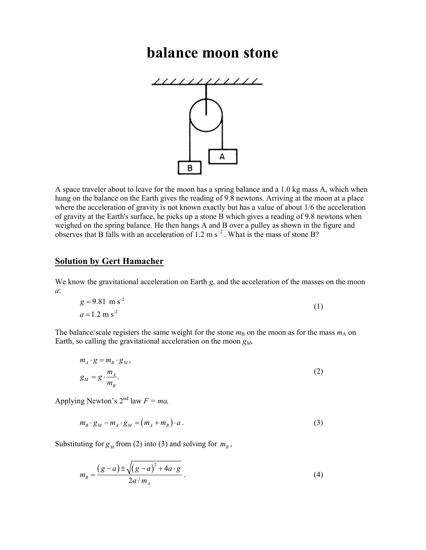## balance moon stone



A space traveler about to leave for the moon has a spring balance and a 1.0 kg mass A, which when hung on the balance on the Earth gives the reading of 9.8 newtons. Arriving at the moon at a place where the acceleration of gravity is not known exactly but has a value of about 1/6 the acceleration of gravity at the Earth's surface, he picks up a stone B which gives a reading of 9.8 newtons when weighed on the spring balance. He then hangs A and B over a pulley as shown in the figure and observes that B falls with an acceleration of 1.2 m  $s^{-2}$ . What is the mass of stone B?

## Solution by Gert Hamacher

We know the gravitational acceleration on Earth g, and the acceleration of the masses on the moon a:

$$
g = 9.81 \text{ m s}^2
$$
  
\n
$$
a = 1.2 \text{ m s}^2
$$
 (1)

The balance/scale registers the same weight for the stone  $m<sub>B</sub>$  on the moon as for the mass  $m<sub>A</sub>$  on Earth, so calling the gravitational acceleration on the moon  $g_M$ ,

$$
m_A \cdot g = m_B \cdot g_M,
$$
  
\n
$$
g_M = g \cdot \frac{m_A}{m_B}.
$$
\n(2)

Applying Newton's  $2^{nd}$  law  $F = ma$ ,

$$
m_B \cdot g_M - m_A \cdot g_M = (m_A + m_B) \cdot a \,. \tag{3}
$$

Substituting for  $g_M$  from (2) into (3) and solving for  $m_B$ ,

$$
m_B = \frac{(g-a) \pm \sqrt{(g-a)^2 + 4a \cdot g}}{2a/m_A}.
$$
 (4)